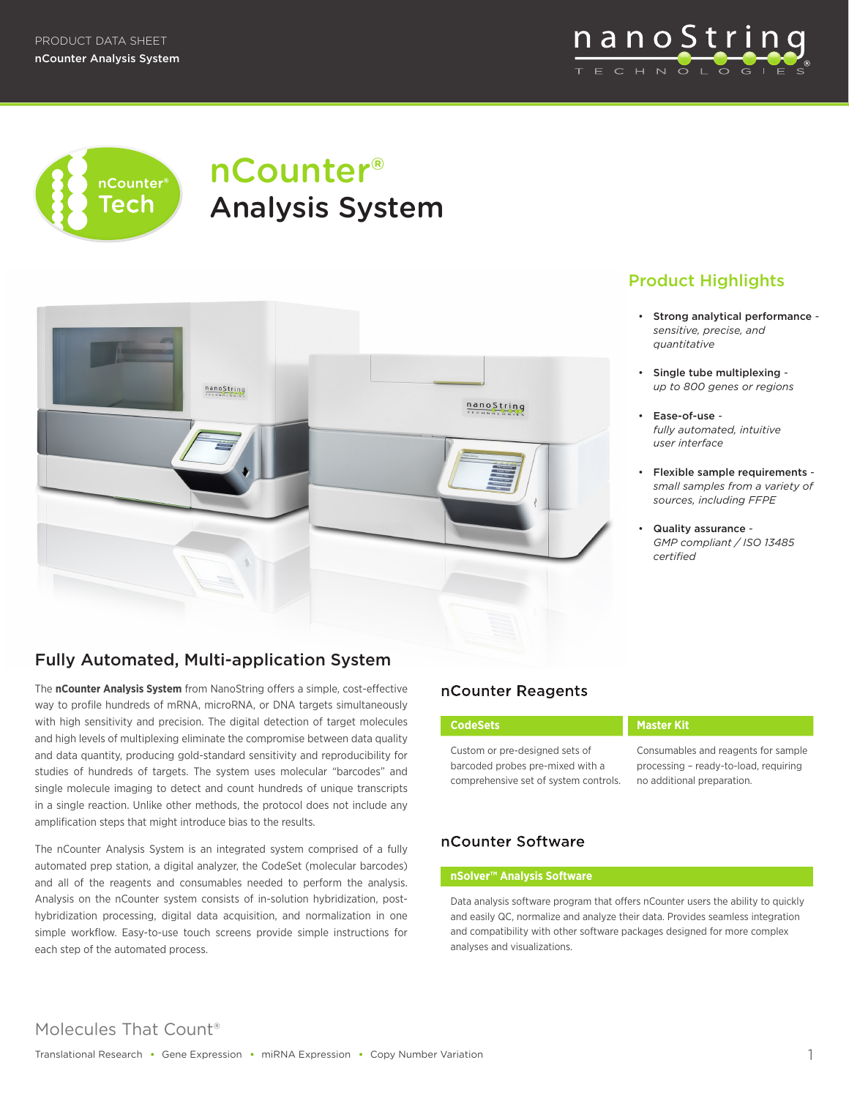nanoString TECHNOLOG



# nCounter® Analysis System



# Product Highlights

- Strong analytical performance *sensitive, precise, and quantitative*
- Single tube multiplexing *up to 800 genes or regions*
- Ease-of-use *fully automated, intuitive user interface*
- Flexible sample requirements *small samples from a variety of sources, including FFPE*
- Quality assurance *GMP compliant / ISO 13485 certified*

# Fully Automated, Multi-application System

The **nCounter Analysis System** from NanoString offers a simple, cost-effective way to profile hundreds of mRNA, microRNA, or DNA targets simultaneously with high sensitivity and precision. The digital detection of target molecules and high levels of multiplexing eliminate the compromise between data quality and data quantity, producing gold-standard sensitivity and reproducibility for studies of hundreds of targets. The system uses molecular "barcodes" and single molecule imaging to detect and count hundreds of unique transcripts in a single reaction. Unlike other methods, the protocol does not include any amplification steps that might introduce bias to the results.

The nCounter Analysis System is an integrated system comprised of a fully automated prep station, a digital analyzer, the CodeSet (molecular barcodes) and all of the reagents and consumables needed to perform the analysis. Analysis on the nCounter system consists of in-solution hybridization, posthybridization processing, digital data acquisition, and normalization in one simple workflow. Easy-to-use touch screens provide simple instructions for each step of the automated process.

## nCounter Reagents

Custom or pre-designed sets of barcoded probes pre-mixed with a comprehensive set of system controls.

#### **CodeSets Master Kit**

Consumables and reagents for sample processing – ready-to-load, requiring no additional preparation.

#### nCounter Software

#### **nSolver™ Analysis Software**

Data analysis software program that offers nCounter users the ability to quickly and easily QC, normalize and analyze their data. Provides seamless integration and compatibility with other software packages designed for more complex analyses and visualizations.

# Molecules That Count®